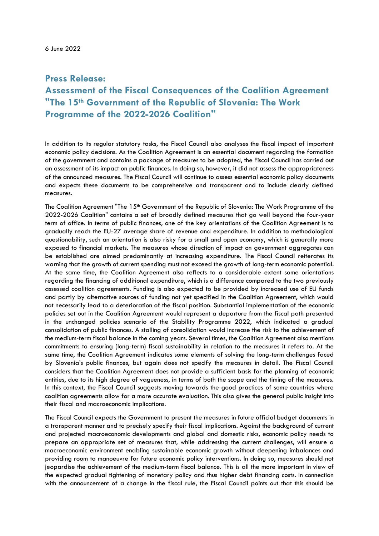6 June 2022

## **Press Release:**

## **Assessment of the Fiscal Consequences of the Coalition Agreement "The 15th Government of the Republic of Slovenia: The Work Programme of the 2022-2026 Coalition"**

In addition to its regular statutory tasks, the Fiscal Council also analyses the fiscal impact of important economic policy decisions. As the Coalition Agreement is an essential document regarding the formation of the government and contains a package of measures to be adopted, the Fiscal Council has carried out an assessment of its impact on public finances. In doing so, however, it did not assess the appropriateness of the announced measures. The Fiscal Council will continue to assess essential economic policy documents and expects these documents to be comprehensive and transparent and to include clearly defined measures.

The Coalition Agreement "The 15<sup>th</sup> Government of the Republic of Slovenia: The Work Programme of the 2022-2026 Coalition" contains a set of broadly defined measures that go well beyond the four-year term of office. In terms of public finances, one of the key orientations of the Coalition Agreement is to gradually reach the EU-27 average share of revenue and expenditure. In addition to methodological questionability, such an orientation is also risky for a small and open economy, which is generally more exposed to financial markets. The measures whose direction of impact on government aggregates can be established are aimed predominantly at increasing expenditure. The Fiscal Council reiterates its warning that the growth of current spending must not exceed the growth of long-term economic potential. At the same time, the Coalition Agreement also reflects to a considerable extent some orientations regarding the financing of additional expenditure, which is a difference compared to the two previously assessed coalition agreements. Funding is also expected to be provided by increased use of EU funds and partly by alternative sources of funding not yet specified in the Coalition Agreement, which would not necessarily lead to a deterioration of the fiscal position. Substantial implementation of the economic policies set out in the Coalition Agreement would represent a departure from the fiscal path presented in the unchanged policies scenario of the Stability Programme 2022, which indicated a gradual consolidation of public finances. A stalling of consolidation would increase the risk to the achievement of the medium-term fiscal balance in the coming years. Several times, the Coalition Agreement also mentions commitments to ensuring (long-term) fiscal sustainability in relation to the measures it refers to. At the same time, the Coalition Agreement indicates some elements of solving the long-term challenges faced by Slovenia's public finances, but again does not specify the measures in detail. The Fiscal Council considers that the Coalition Agreement does not provide a sufficient basis for the planning of economic entities, due to its high degree of vagueness, in terms of both the scope and the timing of the measures. In this context, the Fiscal Council suggests moving towards the good practices of some countries where coalition agreements allow for a more accurate evaluation. This also gives the general public insight into their fiscal and macroeconomic implications.

The Fiscal Council expects the Government to present the measures in future official budget documents in a transparent manner and to precisely specify their fiscal implications. Against the background of current and projected macroeconomic developments and global and domestic risks, economic policy needs to prepare an appropriate set of measures that, while addressing the current challenges, will ensure a macroeconomic environment enabling sustainable economic growth without deepening imbalances and providing room to manoeuvre for future economic policy interventions. In doing so, measures should not jeopardise the achievement of the medium-term fiscal balance. This is all the more important in view of the expected gradual tightening of monetary policy and thus higher debt financing costs. In connection with the announcement of a change in the fiscal rule, the Fiscal Council points out that this should be